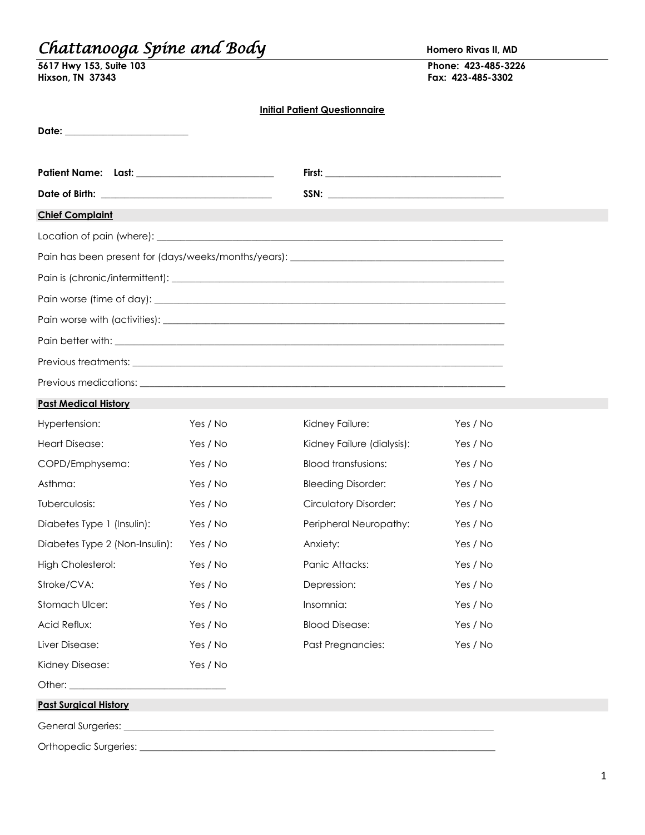# *Chattanooga Spine and Body* **Homero Rivas II, MD**

| 5617 Hwy 153, Suite 103 | Phone: 423-485-3226 |
|-------------------------|---------------------|
| <b>Hixson, TN 37343</b> | Fax: 423-485-3302   |

**Hixson, TN 37343 Fax: 423-485-3302**

### **Initial Patient Questionnaire**

|                                                    |          | <u>ininu i ulici i wucsilumulic</u> |          |
|----------------------------------------------------|----------|-------------------------------------|----------|
|                                                    |          |                                     |          |
| Patient Name: Last: ______________________________ |          |                                     |          |
|                                                    |          |                                     |          |
| <b>Chief Complaint</b>                             |          |                                     |          |
|                                                    |          |                                     |          |
|                                                    |          |                                     |          |
|                                                    |          |                                     |          |
|                                                    |          |                                     |          |
|                                                    |          |                                     |          |
|                                                    |          |                                     |          |
|                                                    |          |                                     |          |
|                                                    |          |                                     |          |
| <b>Past Medical History</b>                        |          |                                     |          |
| Hypertension:                                      | Yes / No | Kidney Failure:                     | Yes / No |
| <b>Heart Disease:</b>                              | Yes / No | Kidney Failure (dialysis):          | Yes / No |
| COPD/Emphysema:                                    | Yes / No | <b>Blood transfusions:</b>          | Yes / No |
| Asthma:                                            | Yes / No | <b>Bleeding Disorder:</b>           | Yes / No |
| Tuberculosis:                                      | Yes / No | <b>Circulatory Disorder:</b>        | Yes / No |
| Diabetes Type 1 (Insulin):                         | Yes / No | Peripheral Neuropathy:              | Yes / No |
| Diabetes Type 2 (Non-Insulin):                     | Yes / No | Anxiety:                            | Yes / No |
| <b>High Cholesterol:</b>                           | Yes / No | Panic Attacks:                      | Yes / No |
| Stroke/CVA:                                        | Yes / No | Depression:                         | Yes / No |
| Stomach Ulcer:                                     | Yes / No | Insomnia:                           | Yes / No |
| Acid Reflux:                                       | Yes / No | <b>Blood Disease:</b>               | Yes / No |
| Liver Disease:                                     | Yes / No | Past Pregnancies:                   | Yes / No |
| Kidney Disease:                                    | Yes / No |                                     |          |
|                                                    |          |                                     |          |
| <b>Past Surgical History</b>                       |          |                                     |          |
|                                                    |          |                                     |          |
|                                                    |          |                                     |          |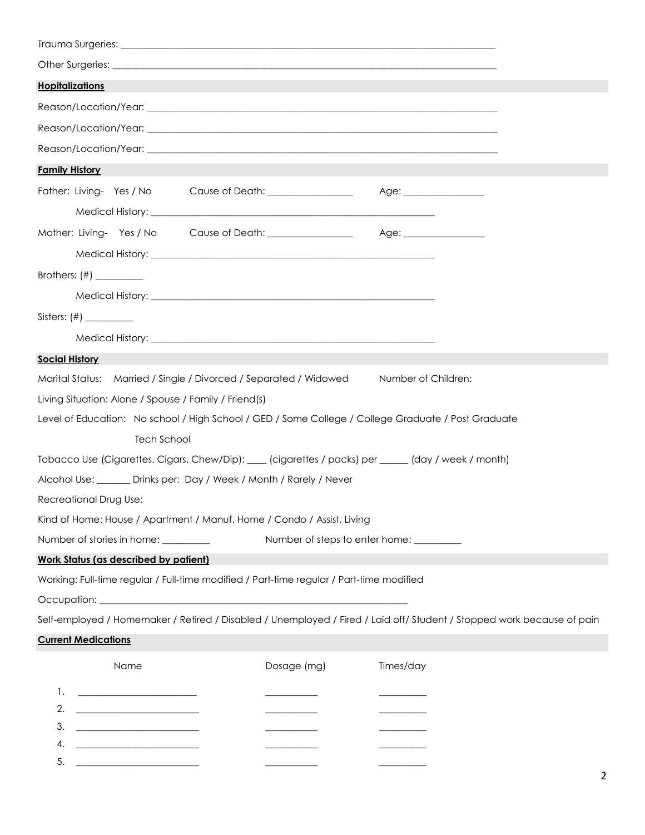| <b>Hopitalizations</b>                                                                                                                                                                                                               |                                           |                        |
|--------------------------------------------------------------------------------------------------------------------------------------------------------------------------------------------------------------------------------------|-------------------------------------------|------------------------|
|                                                                                                                                                                                                                                      |                                           |                        |
|                                                                                                                                                                                                                                      |                                           |                        |
|                                                                                                                                                                                                                                      |                                           |                        |
| <b>Family History</b>                                                                                                                                                                                                                |                                           |                        |
| Father: Living-Yes / No Cause of Death: ________________                                                                                                                                                                             |                                           | Age: _________________ |
|                                                                                                                                                                                                                                      |                                           |                        |
| Mother: Living-Yes / No Cause of Death: ________________                                                                                                                                                                             |                                           | Age: _________________ |
| Medical History: New York 1997 (1997) 2008 12:00:00 12:00:00 12:00:00 12:00:00 12:00:00 12:00:00 12:00:00 12:0                                                                                                                       |                                           |                        |
|                                                                                                                                                                                                                                      |                                           |                        |
|                                                                                                                                                                                                                                      |                                           |                        |
|                                                                                                                                                                                                                                      |                                           |                        |
| Medical History: <u>New York: New York: New York: New York: New York: New York: New York: New York: New York: New York: New York: New York: New York: New York: New York: New York: New York: New York: New York: New York: New </u> |                                           |                        |
| <b>Social History</b>                                                                                                                                                                                                                |                                           |                        |
| Marital Status: Married / Single / Divorced / Separated / Widowed                                                                                                                                                                    |                                           | Number of Children:    |
| Living Situation: Alone / Spouse / Family / Friend(s)                                                                                                                                                                                |                                           |                        |
| Level of Education: No school / High School / GED / Some College / College Graduate / Post Graduate                                                                                                                                  |                                           |                        |
| <b>Tech School</b>                                                                                                                                                                                                                   |                                           |                        |
| Tobacco Use (Cigarettes, Cigars, Chew/Dip): ___ (cigarettes / packs) per _____ (day / week / month)                                                                                                                                  |                                           |                        |
| Alcohol Use: ______ Drinks per: Day / Week / Month / Rarely / Never                                                                                                                                                                  |                                           |                        |
| Recreational Drug Use:                                                                                                                                                                                                               |                                           |                        |
| Kind of Home: House / Apartment / Manuf. Home / Condo / Assist. Living                                                                                                                                                               |                                           |                        |
| Number of stories in home: _________                                                                                                                                                                                                 | Number of steps to enter home: __________ |                        |
| <b>Work Status (as described by patient)</b>                                                                                                                                                                                         |                                           |                        |
| Working: Full-time regular / Full-time modified / Part-time regular / Part-time modified                                                                                                                                             |                                           |                        |
| Occupation: experience of the state of the state of the state of the state of the state of the state of the state of the state of the state of the state of the state of the state of the state of the state of the state of t       |                                           |                        |
| Self-employed / Homemaker / Retired / Disabled / Unemployed / Fired / Laid off/ Student / Stopped work because of pain                                                                                                               |                                           |                        |
| <b>Current Medications</b>                                                                                                                                                                                                           |                                           |                        |
| Name                                                                                                                                                                                                                                 | Dosage (mg)                               | Times/day              |
| 1.                                                                                                                                                                                                                                   |                                           |                        |
| 2.<br><u> 1990 - Johann Barbara, martin a</u>                                                                                                                                                                                        |                                           |                        |
| 3.                                                                                                                                                                                                                                   |                                           |                        |

4.  $\frac{1}{\sqrt{2\pi}}$ 

 $5.$   $\qquad \qquad \qquad$ 

| I<br>I  |
|---------|
| I<br>۰. |
|         |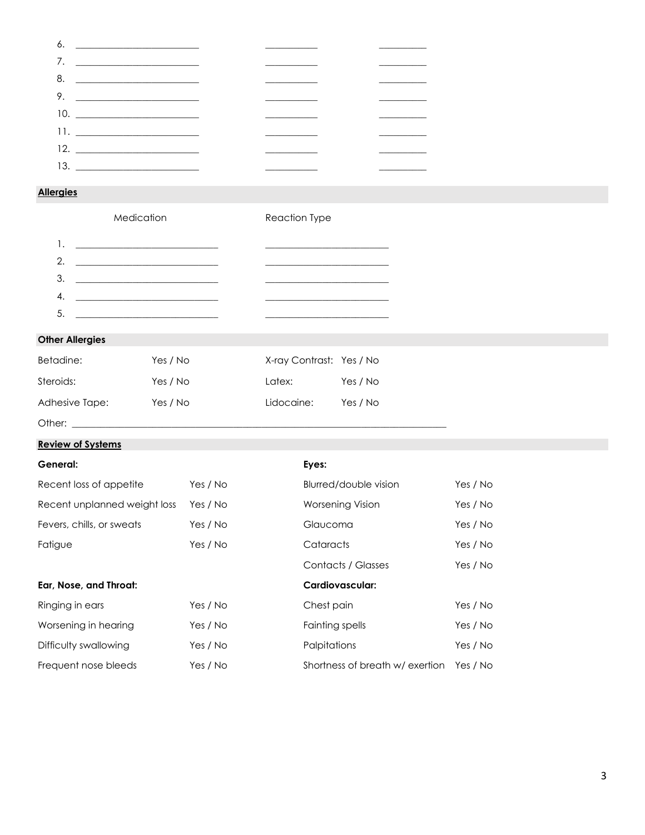| 8.                              | <u> 1989 - Johann Barn, mars and de Brasil</u> |  |
|---------------------------------|------------------------------------------------|--|
| 9. $\qquad$                     |                                                |  |
|                                 |                                                |  |
| $11.$ <u>__________________</u> |                                                |  |
|                                 |                                                |  |
| 13.                             |                                                |  |
|                                 |                                                |  |

### **Allergies**

| Medicatior |  |
|------------|--|
|            |  |

n Reaction Type

|    | $\mathcal{A}$ .                                                                                                                                                                                                                      |  |
|----|--------------------------------------------------------------------------------------------------------------------------------------------------------------------------------------------------------------------------------------|--|
| 5. | <u> 1989 - Johann Harry Harry Harry Harry Harry Harry Harry Harry Harry Harry Harry Harry Harry Harry Harry Harry Harry Harry Harry Harry Harry Harry Harry Harry Harry Harry Harry Harry Harry Harry Harry Harry Harry Harry Ha</u> |  |

## **Other Allergies**

| Betadine:      | Yes / No | X-ray Contrast: Yes / No |          |
|----------------|----------|--------------------------|----------|
| Steroids:      | Yes / No | Latex:                   | Yes / No |
| Adhesive Tape: | Yes / No | Lidocaine:               | Yes / No |

Other:  $\rule{1em}{0.15mm}$ 

### **Review of Systems**

| General:                     |          | Eyes:                          |          |
|------------------------------|----------|--------------------------------|----------|
| Recent loss of appetite      | Yes / No | Blurred/double vision          | Yes / No |
| Recent unplanned weight loss | Yes / No | <b>Worsening Vision</b>        | Yes / No |
| Fevers, chills, or sweats    | Yes / No | Glaucoma                       | Yes / No |
| Fatique                      | Yes / No | Cataracts                      | Yes / No |
|                              |          | Contacts / Glasses             | Yes / No |
| Ear, Nose, and Throat:       |          | Cardiovascular:                |          |
| Ringing in ears              | Yes / No | Chest pain                     | Yes / No |
| Worsening in hearing         | Yes / No | Fainting spells                | Yes / No |
| Difficulty swallowing        | Yes / No | Palpitations                   | Yes / No |
| Frequent nose bleeds         | Yes / No | Shortness of breath w/exertion | Yes / No |